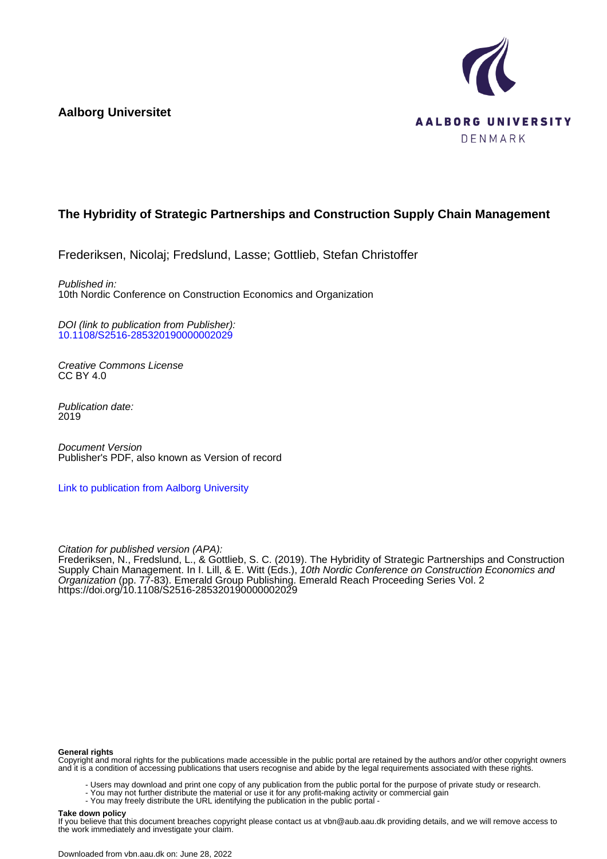**Aalborg Universitet**



## **The Hybridity of Strategic Partnerships and Construction Supply Chain Management**

Frederiksen, Nicolaj; Fredslund, Lasse; Gottlieb, Stefan Christoffer

Published in: 10th Nordic Conference on Construction Economics and Organization

DOI (link to publication from Publisher): [10.1108/S2516-285320190000002029](https://doi.org/10.1108/S2516-285320190000002029)

Creative Commons License CC BY 4.0

Publication date: 2019

Document Version Publisher's PDF, also known as Version of record

[Link to publication from Aalborg University](https://vbn.aau.dk/en/publications/52053758-8506-4eb5-a1db-63086b4a482a)

Citation for published version (APA):

Frederiksen, N., Fredslund, L., & Gottlieb, S. C. (2019). The Hybridity of Strategic Partnerships and Construction Supply Chain Management. In I. Lill, & E. Witt (Eds.), 10th Nordic Conference on Construction Economics and Organization (pp. 77-83). Emerald Group Publishing. Emerald Reach Proceeding Series Vol. 2 <https://doi.org/10.1108/S2516-285320190000002029>

#### **General rights**

Copyright and moral rights for the publications made accessible in the public portal are retained by the authors and/or other copyright owners and it is a condition of accessing publications that users recognise and abide by the legal requirements associated with these rights.

- Users may download and print one copy of any publication from the public portal for the purpose of private study or research.
- You may not further distribute the material or use it for any profit-making activity or commercial gain
	- You may freely distribute the URL identifying the publication in the public portal -

#### **Take down policy**

If you believe that this document breaches copyright please contact us at vbn@aub.aau.dk providing details, and we will remove access to the work immediately and investigate your claim.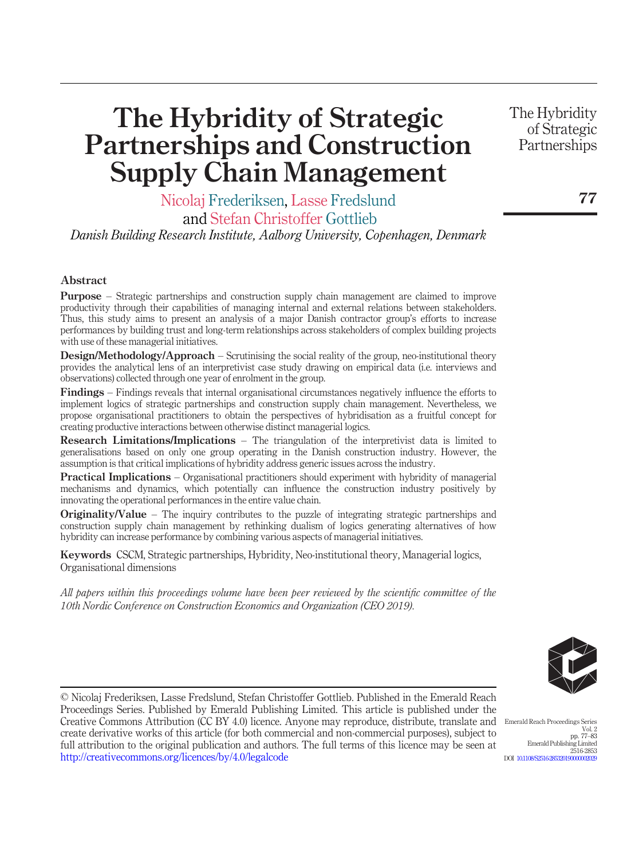# The Hybridity of Strategic Partnerships and Construction Supply Chain Management

Nicolaj Frederiksen, Lasse Fredslund

and Stefan Christoffer Gottlieb

Danish Building Research Institute, Aalborg University, Copenhagen, Denmark

#### Abstract

Purpose – Strategic partnerships and construction supply chain management are claimed to improve productivity through their capabilities of managing internal and external relations between stakeholders. Thus, this study aims to present an analysis of a major Danish contractor group's efforts to increase performances by building trust and long-term relationships across stakeholders of complex building projects with use of these managerial initiatives.

Design/Methodology/Approach – Scrutinising the social reality of the group, neo-institutional theory provides the analytical lens of an interpretivist case study drawing on empirical data (i.e. interviews and observations) collected through one year of enrolment in the group.

Findings – Findings reveals that internal organisational circumstances negatively influence the efforts to implement logics of strategic partnerships and construction supply chain management. Nevertheless, we propose organisational practitioners to obtain the perspectives of hybridisation as a fruitful concept for creating productive interactions between otherwise distinct managerial logics.

Research Limitations/Implications – The triangulation of the interpretivist data is limited to generalisations based on only one group operating in the Danish construction industry. However, the assumption is that critical implications of hybridity address generic issues across the industry.

Practical Implications – Organisational practitioners should experiment with hybridity of managerial mechanisms and dynamics, which potentially can influence the construction industry positively by innovating the operational performances in the entire value chain.

Originality/Value – The inquiry contributes to the puzzle of integrating strategic partnerships and construction supply chain management by rethinking dualism of logics generating alternatives of how hybridity can increase performance by combining various aspects of managerial initiatives.

Keywords CSCM, Strategic partnerships, Hybridity, Neo-institutional theory, Managerial logics, Organisational dimensions

All papers within this proceedings volume have been peer reviewed by the scientific committee of the 10th Nordic Conference on Construction Economics and Organization (CEO 2019).

© Nicolaj Frederiksen, Lasse Fredslund, Stefan Christoffer Gottlieb. Published in the Emerald Reach Proceedings Series. Published by Emerald Publishing Limited. This article is published under the Creative Commons Attribution (CC BY 4.0) licence. Anyone may reproduce, distribute, translate and create derivative works of this article (for both commercial and non-commercial purposes), subject to full attribution to the original publication and authors. The full terms of this licence may be seen at http://creativecommons.org/licences/by/4.0/legalcode



Emerald Reach Proceedings Series Vol. 2 pp. 77–83 Emerald Publishing Limited 2516-2853 DOI 10.1108/S2516-28532019000000202

77

The Hybridity of Strategic Partnerships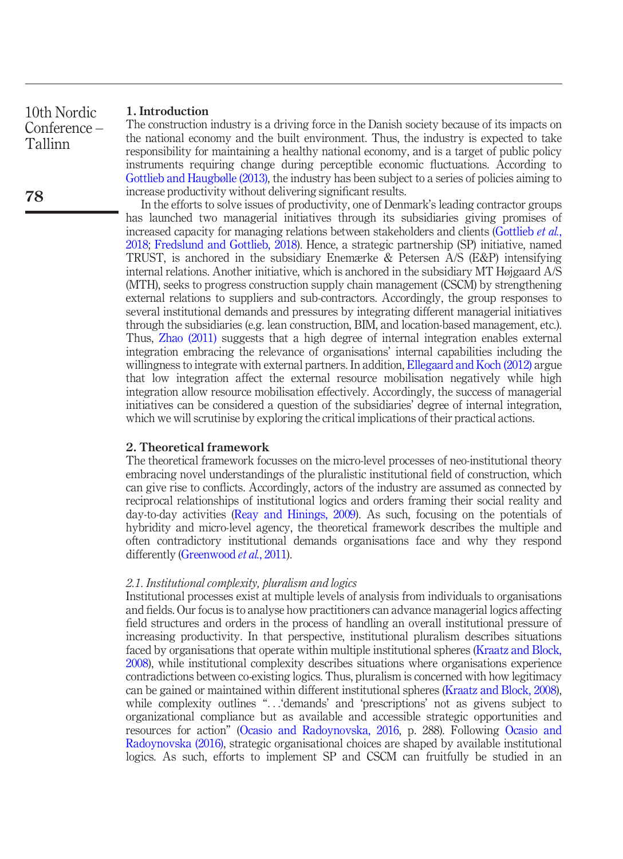#### [1.](#page-6-0) [In](#page-6-0)t[roduction](#page-6-1)

The construction industry is a driving force in the Danish society because of its impacts on the national economy and the built environment. Thus, the industry is expected to take responsibility for maintaining a healthy national economy, and is a target of public policy instruments requiring change during perceptible economic fluctuations. According to Gottlieb and Haugbølle (2013), the industry has been subject to a series of policies aiming to increase productivity without delivering significant results.

In t[he](#page-7-0) [efforts](#page-7-0) [to](#page-7-0) [s](#page-7-0)olve issues of productivity, one of Denmark's leading contractor groups has launched two managerial initiatives through its subsidiaries giving promises of increased capacity for managing relations between stakeh[olders](#page-6-2) [and](#page-6-2) [clients](#page-6-2) [\(Gottlieb](#page-6-2) et al., 2018; Fredslund and Gottlieb, 2018). Hence, a strategic partnership (SP) initiative, named TRUST, is anchored in the subsidiary Enemærke & Petersen A/S (E&P) intensifying internal relations. Another initiative, which is anchored in the subsidiary MT Højgaard A/S (MTH), seeks to progress construction supply chain management (CSCM) by strengthening external relations to suppliers and sub-contractors. Accordingly, the group responses to several institutional demands and pressures by integrating different managerial initiatives through the subsidiaries (e.g. lean construction, BIM, and location-based management, etc.). Thus, Zhao (2011) suggests that a high degree of internal integration enables external integration embracing the relevance of organisations' internal capabilities including the willingness to integrate with external partners. In addition, Ellegaard and Koch (2012) argue that low integration [affect the external reso](#page-7-1)urce mobilisation negatively while high integration allow resource mobilisation effectively. Accordingly, the success of managerial initiatives can be considered a question of the subsidiaries' degree of internal integration, which we [will](#page-7-2) [scrutinise](#page-7-2) [by](#page-7-2) [explor](#page-7-2)ing the critical implications of their practical actions.

#### 2. Theoretical framework

The theoretical framework focusses on the micro-level processes of neo-institutional theory embracing novel understandings of the pluralistic institutional field of construction, which can give rise to conflicts. Accordingly, actors of the industry are assumed as connected by reciprocal relationships of institutional logics and orders framing their social reality and day-to-day activities (Reay and Hinings, 2009). As such, focusing on [the](#page-7-3) [potentials](#page-7-3) [of](#page-7-3) [hybr](#page-7-3)idity and micro-level agency, the theoretical framework describes the multiple and often contradictory institutional demands organisations face [and why they respond](#page-7-3) differently (Greenwood *et al.*, 2011).

#### 2.1. Institutional complexity, pluralism and logics

Institutional processes [exist](#page-7-4) [at](#page-7-4) [multiple](#page-7-4) [levels](#page-7-4) [of](#page-7-4) [analysis](#page-7-4) from individuals to o[rganisations](#page-7-4) and fi[elds.](#page-7-4) [Our](#page-7-4) [focus](#page-7-4) is to analyse how practitioners can advance managerial logics affecting field structures and orders in the process of handling an overall institutional pressure of increasing productivity. In that perspective, institutional pluralism describes situations faced by organisations that operate within multiple institutional spheres (Kraatz and Block, 2008), while institutional complexity describes situations where organisations experience contradictions between co-existing logics. Thus, pluralism is concerned with how legitimacy can be gained or maintained within different institutional spheres (Kraatz and Block, 2008), while complexity outlines "... 'demands' and 'prescriptions' not as givens subject to organizational compliance but as available and accessible strategic opportunities and resources for action" (Ocasio and Radoynovska, 2016, p. 288). Following Ocasio and Radoynovska (2016), strategic organisational choices are shaped by available institutional logics. As such, efforts to implement SP and CSCM can fruitfully be studied in an

78

10th Nordic Conference – Tallinn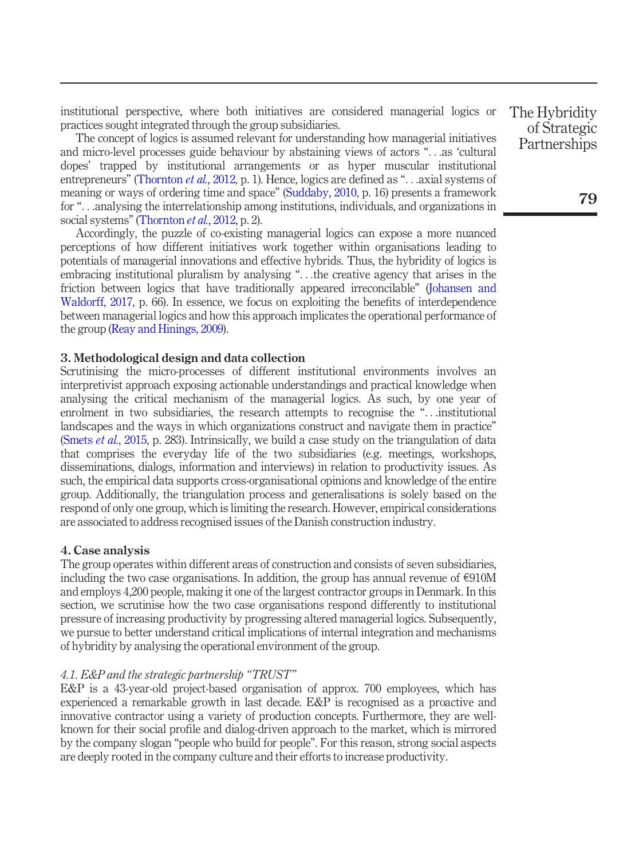institutional perspective, where both initiatives are considered managerial logics or practices sought integrated through the group subsidiaries.

The concept of logics is assumed relevant for understanding how managerial initiatives and micro-level processes guide behaviour by abstaining views of actors "...as '[cultural](#page-7-5) dopes' [trapped](#page-7-5) by institutional arrangements or as hyper muscular institutional entrepreneurs" (Thornton *et al.*, 2012, p. 1). Hence, logics are defined as "... axial systems of meaning o[r ways of ordering time](#page-7-1) and space" (Suddaby, 2010, p. 16) presents a framework for "...analysing the interrelationship among institutions, individuals, and organizations in social systems" (Thornton et al., 2012, p. 2).

Accordingly, the puzzle of co-existing managerial logics can expose a more nuanced perceptions of how different initiatives work together within organisations leading to potentials of managerial innovations and effective hybrids. Thus, the hybridity of logics is embracing institutional pluralism by analysing "...the creative agency that arises in the friction between logics that have traditionally appeared irreconcilable" (Johansen and [Waldorff, 2017, p.](#page-7-6) 66). In essence, we focus on exploiting the benefits of interdependence between managerial logics and how this approach implicates the operational performance of the group (Reay and Hinings, 2009).

#### 3. Methodological design and data collection

Scrutinising the micro-processes of different institutional environments involves an interpretivist approach exposing actionable understandings and practical knowledge when analysing the critical mechanism of the managerial logics. As such, by one year of enrolment in two subsidiaries, the research attempts to recognise the "...institutional landscapes and the ways in which organizations construct and navigate them in practice" (Smets et al., 2015, p. 283). Intrinsically, we build a case study on the triangulation of data that comprises the everyday life of the two subsidiaries (e.g. meetings, workshops, disseminations, dialogs, information and interviews) in relation to productivity issues. As such, the empirical data supports cross-organisational opinions and knowledge of the entire group. Additionally, the triangulation process and generalisations is solely based on the respond of only one group, which is limiting the research. However, empirical considerations are associated to address recognised issues of the Danish construction industry.

#### 4. Case analysis

The group operates within different areas of construction and consists of seven subsidiaries, including the two case organisations. In addition, the group has annual revenue of  $\epsilon$ 910M and employs 4,200 people, making it one of the largest contractor groups in Denmark. In this section, we scrutinise how the two case organisations respond differently to institutional pressure of increasing productivity by progressing altered managerial logics. Subsequently, we pursue to better understand critical implications of internal integration and mechanisms of hybridity by analysing the operational environment of the group.

### 4.1. E&P and the strategic partnership "TRUST"

E&P is a 43-year-old project-based organisation of approx. 700 employees, which has experienced a remarkable growth in last decade. E&P is recognised as a proactive and innovative contractor using a variety of production concepts. Furthermore, they are wellknown for their social profile and dialog-driven approach to the market, which is mirrored by the company slogan "people who build for people". For this reason, strong social aspects are deeply rooted in the company culture and their efforts to increase productivity.

The Hybridity of Strategic **Partnerships** 

79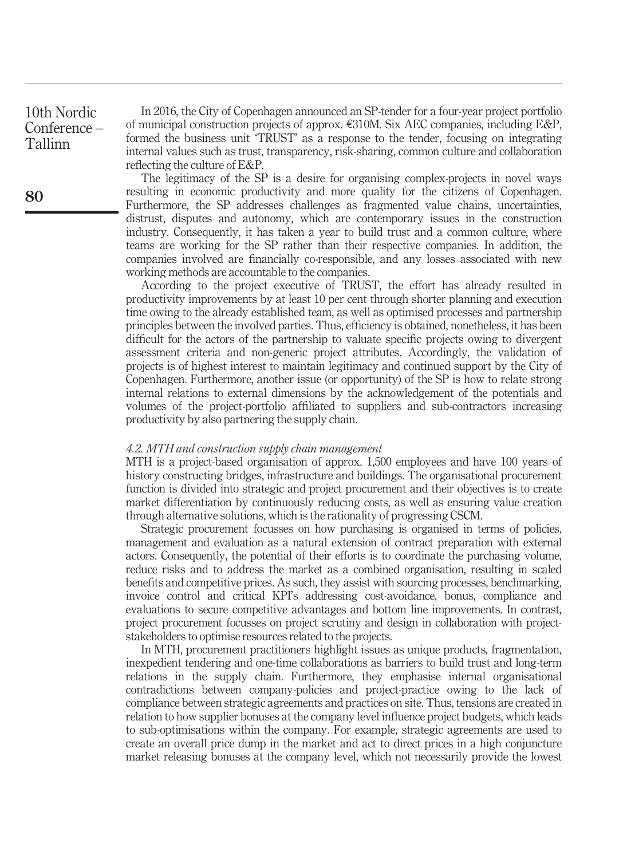10th Nordic Conference – Tallinn

In 2016, the City of Copenhagen announced an SP-tender for a four-year project portfolio of municipal construction projects of approx. e310M. Six AEC companies, including E&P, formed the business unit 'TRUST' as a response to the tender, focusing on integrating internal values such as trust, transparency, risk-sharing, common culture and collaboration reflecting the culture of E&P.

The legitimacy of the SP is a desire for organising complex-projects in novel ways resulting in economic productivity and more quality for the citizens of Copenhagen. Furthermore, the SP addresses challenges as fragmented value chains, uncertainties, distrust, disputes and autonomy, which are contemporary issues in the construction industry. Consequently, it has taken a year to build trust and a common culture, where teams are working for the SP rather than their respective companies. In addition, the companies involved are financially co-responsible, and any losses associated with new working methods are accountable to the companies.

According to the project executive of TRUST, the effort has already resulted in productivity improvements by at least 10 per cent through shorter planning and execution time owing to the already established team, as well as optimised processes and partnership principles between the involved parties. Thus, efficiency is obtained, nonetheless, it has been difficult for the actors of the partnership to valuate specific projects owing to divergent assessment criteria and non-generic project attributes. Accordingly, the validation of projects is of highest interest to maintain legitimacy and continued support by the City of Copenhagen. Furthermore, another issue (or opportunity) of the SP is how to relate strong internal relations to external dimensions by the acknowledgement of the potentials and volumes of the project-portfolio affiliated to suppliers and sub-contractors increasing productivity by also partnering the supply chain.

#### 4.2. MTH and construction supply chain management

MTH is a project-based organisation of approx. 1,500 employees and have 100 years of history constructing bridges, infrastructure and buildings. The organisational procurement function is divided into strategic and project procurement and their objectives is to create market differentiation by continuously reducing costs, as well as ensuring value creation through alternative solutions, which is the rationality of progressing CSCM.

Strategic procurement focusses on how purchasing is organised in terms of policies, management and evaluation as a natural extension of contract preparation with external actors. Consequently, the potential of their efforts is to coordinate the purchasing volume, reduce risks and to address the market as a combined organisation, resulting in scaled benefits and competitive prices. As such, they assist with sourcing processes, benchmarking, invoice control and critical KPI's addressing cost-avoidance, bonus, compliance and evaluations to secure competitive advantages and bottom line improvements. In contrast, project procurement focusses on project scrutiny and design in collaboration with projectstakeholders to optimise resources related to the projects.

In MTH, procurement practitioners highlight issues as unique products, fragmentation, inexpedient tendering and one-time collaborations as barriers to build trust and long-term relations in the supply chain. Furthermore, they emphasise internal organisational contradictions between company-policies and project-practice owing to the lack of compliance between strategic agreements and practices on site. Thus, tensions are created in relation to how supplier bonuses at the company level influence project budgets, which leads to sub-optimisations within the company. For example, strategic agreements are used to create an overall price dump in the market and act to direct prices in a high conjuncture market releasing bonuses at the company level, which not necessarily provide the lowest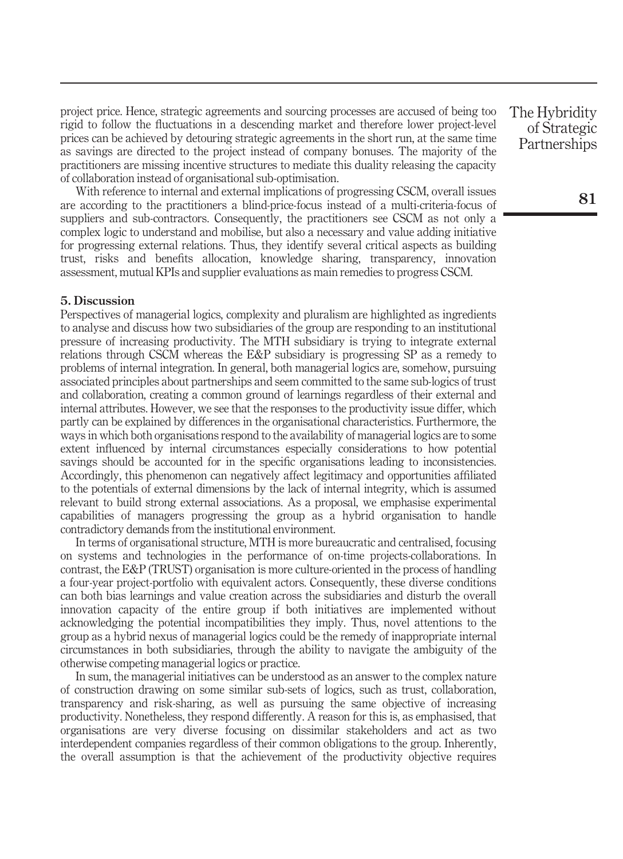project price. Hence, strategic agreements and sourcing processes are accused of being too rigid to follow the fluctuations in a descending market and therefore lower project-level prices can be achieved by detouring strategic agreements in the short run, at the same time as savings are directed to the project instead of company bonuses. The majority of the practitioners are missing incentive structures to mediate this duality releasing the capacity of collaboration instead of organisational sub-optimisation.

With reference to internal and external implications of progressing CSCM, overall issues are according to the practitioners a blind-price-focus instead of a multi-criteria-focus of suppliers and sub-contractors. Consequently, the practitioners see CSCM as not only a complex logic to understand and mobilise, but also a necessary and value adding initiative for progressing external relations. Thus, they identify several critical aspects as building trust, risks and benefits allocation, knowledge sharing, transparency, innovation assessment, mutual KPIs and supplier evaluations as main remedies to progress CSCM.

#### 5. Discussion

Perspectives of managerial logics, complexity and pluralism are highlighted as ingredients to analyse and discuss how two subsidiaries of the group are responding to an institutional pressure of increasing productivity. The MTH subsidiary is trying to integrate external relations through CSCM whereas the E&P subsidiary is progressing SP as a remedy to problems of internal integration. In general, both managerial logics are, somehow, pursuing associated principles about partnerships and seem committed to the same sub-logics of trust and collaboration, creating a common ground of learnings regardless of their external and internal attributes. However, we see that the responses to the productivity issue differ, which partly can be explained by differences in the organisational characteristics. Furthermore, the ways in which both organisations respond to the availability of managerial logics are to some extent influenced by internal circumstances especially considerations to how potential savings should be accounted for in the specific organisations leading to inconsistencies. Accordingly, this phenomenon can negatively affect legitimacy and opportunities affiliated to the potentials of external dimensions by the lack of internal integrity, which is assumed relevant to build strong external associations. As a proposal, we emphasise experimental capabilities of managers progressing the group as a hybrid organisation to handle contradictory demands from the institutional environment.

In terms of organisational structure, MTH is more bureaucratic and centralised, focusing on systems and technologies in the performance of on-time projects-collaborations. In contrast, the E&P (TRUST) organisation is more culture-oriented in the process of handling a four-year project-portfolio with equivalent actors. Consequently, these diverse conditions can both bias learnings and value creation across the subsidiaries and disturb the overall innovation capacity of the entire group if both initiatives are implemented without acknowledging the potential incompatibilities they imply. Thus, novel attentions to the group as a hybrid nexus of managerial logics could be the remedy of inappropriate internal circumstances in both subsidiaries, through the ability to navigate the ambiguity of the otherwise competing managerial logics or practice.

In sum, the managerial initiatives can be understood as an answer to the complex nature of construction drawing on some similar sub-sets of logics, such as trust, collaboration, transparency and risk-sharing, as well as pursuing the same objective of increasing productivity. Nonetheless, they respond differently. A reason for this is, as emphasised, that organisations are very diverse focusing on dissimilar stakeholders and act as two interdependent companies regardless of their common obligations to the group. Inherently, the overall assumption is that the achievement of the productivity objective requires

The Hybridity of Strategic **Partnerships**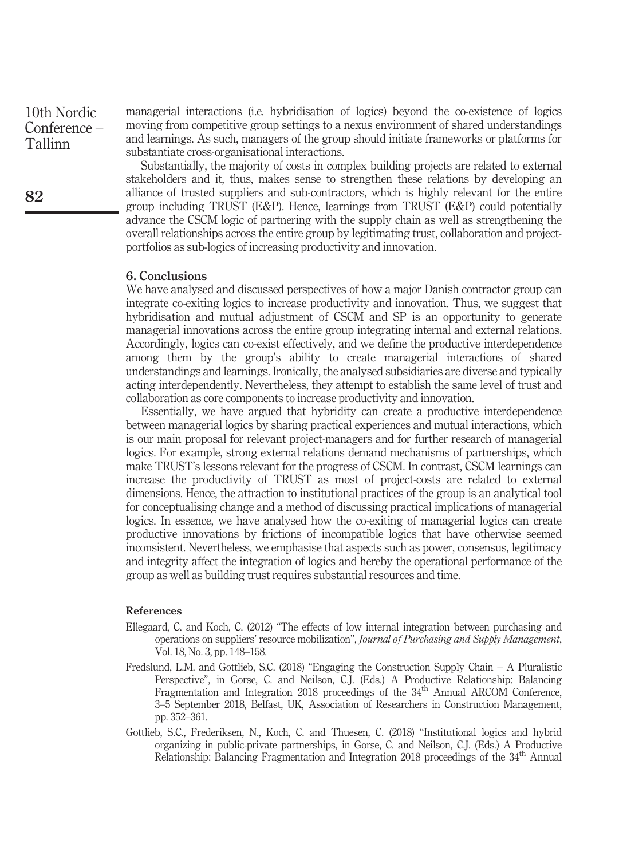10th Nordic Conference – Tallinn

managerial interactions (i.e. hybridisation of logics) beyond the co-existence of logics moving from competitive group settings to a nexus environment of shared understandings and learnings. As such, managers of the group should initiate frameworks or platforms for substantiate cross-organisational interactions.

Substantially, the majority of costs in complex building projects are related to external stakeholders and it, thus, makes sense to strengthen these relations by developing an alliance of trusted suppliers and sub-contractors, which is highly relevant for the entire group including TRUST (E&P). Hence, learnings from TRUST (E&P) could potentially advance the CSCM logic of partnering with the supply chain as well as strengthening the overall relationships across the entire group by legitimating trust, collaboration and projectportfolios as sub-logics of increasing productivity and innovation.

#### 6. Conclusions

We have analysed and discussed perspectives of how a major Danish contractor group can integrate co-exiting logics to increase productivity and innovation. Thus, we suggest that hybridisation and mutual adjustment of CSCM and SP is an opportunity to generate managerial innovations across the entire group integrating internal and external relations. Accordingly, logics can co-exist effectively, and we define the productive interdependence among them by the group's ability to create managerial interactions of shared understandings and learnings. Ironically, the analysed subsidiaries are diverse and typically acting interdependently. Nevertheless, they attempt to establish the same level of trust and collaboration as core components to increase productivity and innovation.

Essentially, we have argued that hybridity can create a productive interdependence between managerial logics by sharing practical experiences and mutual interactions, which is our main proposal for relevant project-managers and for further research of managerial logics. For example, strong external relations demand mechanisms of partnerships, which make TRUST's lessons relevant for the progress of CSCM. In contrast, CSCM learnings can increase the productivity of TRUST as most of project-costs are related to external dimensions. Hence, the attraction to institutional practices of the group is an analytical tool for conceptualising change and a method of discussing practical implications of managerial logics. In essence, we have analysed how the co-exiting of managerial logics can create productive innovations by frictions of incompatible logics that have otherwise seemed inconsistent. Nevertheless, we emphasise that aspects such as power, consensus, legitimacy and integrity affect the integration of logics and hereby the operational performance of the group as well as building trust requires substantial resources and time.

#### References

- <span id="page-6-2"></span>Ellegaard, C. and Koch, C. (2012) "The effects of low internal integration between purchasing and operations on suppliers' resource mobilization", Journal of Purchasing and Supply Management, Vol. 18, No. 3, pp. 148–158.
- <span id="page-6-1"></span>Fredslund, L.M. and Gottlieb, S.C. (2018) "Engaging the Construction Supply Chain – A Pluralistic Perspective", in Gorse, C. and Neilson, C.J. (Eds.) A Productive Relationship: Balancing Fragmentation and Integration 2018 proceedings of the 34<sup>th</sup> Annual ARCOM Conference, 3–5 September 2018, Belfast, UK, Association of Researchers in Construction Management, pp. 352–361.
- <span id="page-6-0"></span>Gottlieb, S.C., Frederiksen, N., Koch, C. and Thuesen, C. (2018) "Institutional logics and hybrid organizing in public-private partnerships, in Gorse, C. and Neilson, C.J. (Eds.) A Productive Relationship: Balancing Fragmentation and Integration 2018 proceedings of the 34th Annual